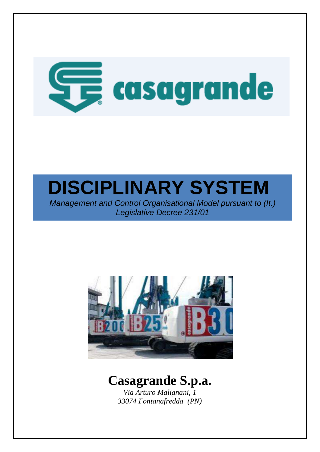

*Management and Control Organisational Model pursuant to (It.) Legislative Decree 231/01*



# **Casagrande S.p.a.**

*Via Arturo Malignani, 1 33074 Fontanafredda (PN)*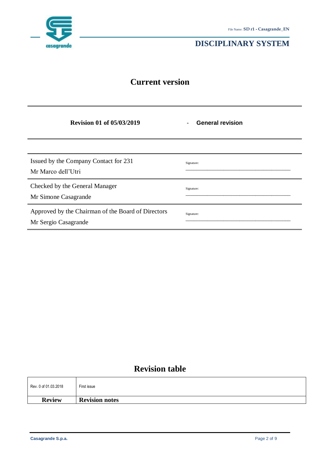

# **Current version**

| <b>Revision 01 of 05/03/2019</b>                                           | <b>General revision</b><br>$\overline{a}$ |
|----------------------------------------------------------------------------|-------------------------------------------|
|                                                                            |                                           |
| Issued by the Company Contact for 231<br>Mr Marco dell'Utri                | Signature:                                |
| Checked by the General Manager<br>Mr Simone Casagrande                     | Signature:                                |
| Approved by the Chairman of the Board of Directors<br>Mr Sergio Casagrande | Signature:                                |

# **Revision table**

| Rev. 0 of 01.03.2018 | First issue           |
|----------------------|-----------------------|
| <b>Review</b>        | <b>Revision notes</b> |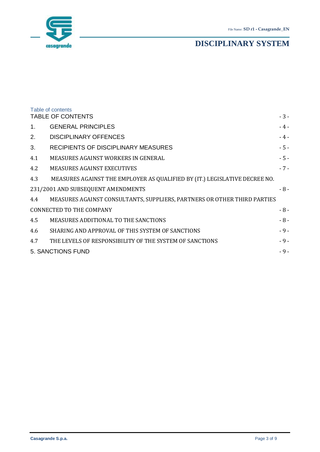

<span id="page-2-0"></span>

|         | Table of contents                                                          |        |
|---------|----------------------------------------------------------------------------|--------|
|         | <b>TABLE OF CONTENTS</b>                                                   | $-3-$  |
| $1_{-}$ | <b>GENERAL PRINCIPLES</b>                                                  | $-4-$  |
| 2.      | <b>DISCIPLINARY OFFENCES</b>                                               | - 4 -  |
| 3.      | RECIPIENTS OF DISCIPLINARY MEASURES                                        | $-5-$  |
| 4.1     | <b>MEASURES AGAINST WORKERS IN GENERAL</b>                                 | $-5 -$ |
| 4.2     | <b>MEASURES AGAINST EXECUTIVES</b>                                         | $-7-$  |
| 4.3     | MEASURES AGAINST THE EMPLOYER AS QUALIFIED BY (IT.) LEGISLATIVE DECREE NO. |        |
|         | 231/2001 AND SUBSEQUENT AMENDMENTS                                         | $-8-$  |
| 4.4     | MEASURES AGAINST CONSULTANTS, SUPPLIERS, PARTNERS OR OTHER THIRD PARTIES   |        |
|         | <b>CONNECTED TO THE COMPANY</b>                                            | $-8-$  |
| 4.5     | <b>MEASURES ADDITIONAL TO THE SANCTIONS</b>                                | $-8-$  |
| 4.6     | SHARING AND APPROVAL OF THIS SYSTEM OF SANCTIONS                           | $-9-$  |
| 4.7     | THE LEVELS OF RESPONSIBILITY OF THE SYSTEM OF SANCTIONS                    | - 9 -  |
|         | <b>5. SANCTIONS FUND</b>                                                   | $-9-$  |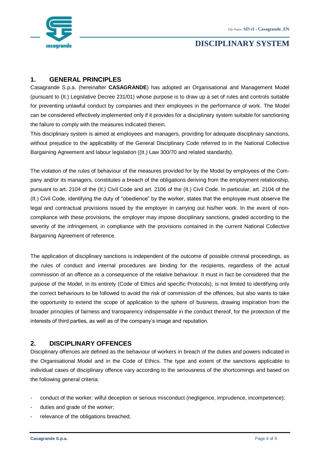

## <span id="page-3-0"></span>**1. GENERAL PRINCIPLES**

Casagrande S.p.a. (hereinafter **CASAGRANDE**) has adopted an Organisational and Management Model (pursuant to (It.) Legislative Decree 231/01) whose purpose is to draw up a set of rules and controls suitable for preventing unlawful conduct by companies and their employees in the performance of work. The Model can be considered effectively implemented only if it provides for a disciplinary system suitable for sanctioning the failure to comply with the measures indicated therein.

This disciplinary system is aimed at employees and managers, providing for adequate disciplinary sanctions, without prejudice to the applicability of the General Disciplinary Code referred to in the National Collective Bargaining Agreement and labour legislation ((It.) Law 300/70 and related standards).

The violation of the rules of behaviour of the measures provided for by the Model by employees of the Company and/or its managers, constitutes a breach of the obligations deriving from the employment relationship, pursuant to art. 2104 of the (It.) Civil Code and art. 2106 of the (It.) Civil Code. In particular, art. 2104 of the (It.) Civil Code, identifying the duty of "obedience" by the worker, states that the employee must observe the legal and contractual provisions issued by the employer in carrying out his/her work. In the event of noncompliance with these provisions, the employer may impose disciplinary sanctions, graded according to the severity of the infringement, in compliance with the provisions contained in the current National Collective Bargaining Agreement of reference.

The application of disciplinary sanctions is independent of the outcome of possible criminal proceedings, as the rules of conduct and internal procedures are binding for the recipients, regardless of the actual commission of an offence as a consequence of the relative behaviour. It must in fact be considered that the purpose of the Model, in its entirety (Code of Ethics and specific Protocols), is not limited to identifying only the correct behaviours to be followed to avoid the risk of commission of the offences, but also wants to take the opportunity to extend the scope of application to the sphere of business, drawing inspiration from the broader principles of fairness and transparency indispensable in the conduct thereof, for the protection of the interests of third parties, as well as of the company's image and reputation.

#### <span id="page-3-1"></span>**2. DISCIPLINARY OFFENCES**

Disciplinary offences are defined as the behaviour of workers in breach of the duties and powers indicated in the Organisational Model and in the Code of Ethics. The type and extent of the sanctions applicable to individual cases of disciplinary offence vary according to the seriousness of the shortcomings and based on the following general criteria:

- conduct of the worker: wilful deception or serious misconduct (negligence, imprudence, incompetence);
- duties and grade of the worker;
- relevance of the obligations breached;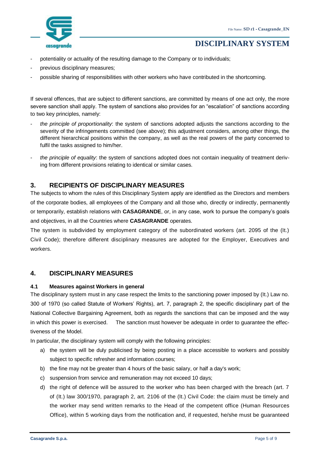

- potentiality or actuality of the resulting damage to the Company or to individuals;
- previous disciplinary measures;
- possible sharing of responsibilities with other workers who have contributed in the shortcoming.

If several offences, that are subject to different sanctions, are committed by means of one act only, the more severe sanction shall apply. The system of sanctions also provides for an "escalation" of sanctions according to two key principles, namely:

- *the principle of proportionality*: the system of sanctions adopted adjusts the sanctions according to the severity of the infringements committed (see above); this adjustment considers, among other things, the different hierarchical positions within the company, as well as the real powers of the party concerned to fulfil the tasks assigned to him/her.
- *the principle of equality*: the system of sanctions adopted does not contain inequality of treatment deriving from different provisions relating to identical or similar cases.

## <span id="page-4-0"></span>**3. RECIPIENTS OF DISCIPLINARY MEASURES**

The subjects to whom the rules of this Disciplinary System apply are identified as the Directors and members of the corporate bodies, all employees of the Company and all those who, directly or indirectly, permanently or temporarily, establish relations with **CASAGRANDE**, or, in any case, work to pursue the company's goals and objectives, in all the Countries where **CASAGRANDE** operates.

The system is subdivided by employment category of the subordinated workers (art. 2095 of the (It.) Civil Code); therefore different disciplinary measures are adopted for the Employer, Executives and workers.

#### **4. DISCIPLINARY MEASURES**

#### <span id="page-4-1"></span>**4.1 Measures against Workers in general**

The disciplinary system must in any case respect the limits to the sanctioning power imposed by (It.) Law no. 300 of 1970 (so called Statute of Workers' Rights), art. 7, paragraph 2, the specific disciplinary part of the National Collective Bargaining Agreement, both as regards the sanctions that can be imposed and the way in which this power is exercised. The sanction must however be adequate in order to guarantee the effectiveness of the Model.

In particular, the disciplinary system will comply with the following principles:

- a) the system will be duly publicised by being posting in a place accessible to workers and possibly subject to specific refresher and information courses;
- b) the fine may not be greater than 4 hours of the basic salary, or half a day's work;
- c) suspension from service and remuneration may not exceed 10 days;
- d) the right of defence will be assured to the worker who has been charged with the breach (art. 7 of (It.) law 300/1970, paragraph 2, art. 2106 of the (It.) Civil Code: the claim must be timely and the worker may send written remarks to the Head of the competent office (Human Resources Office), within 5 working days from the notification and, if requested, he/she must be guaranteed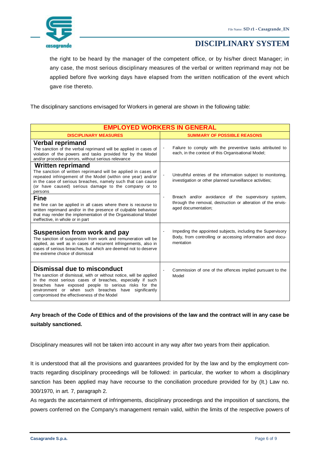

the right to be heard by the manager of the competent office, or by his/her direct Manager; in any case, the most serious disciplinary measures of the verbal or written reprimand may not be applied before five working days have elapsed from the written notification of the event which gave rise thereto.

The disciplinary sanctions envisaged for Workers in general are shown in the following table:

| <b>EMPLOYED WORKERS IN GENERAL</b>                                                                                                                                                                                                                                                                                                   |                                                                                                                                                             |  |
|--------------------------------------------------------------------------------------------------------------------------------------------------------------------------------------------------------------------------------------------------------------------------------------------------------------------------------------|-------------------------------------------------------------------------------------------------------------------------------------------------------------|--|
| <b>DISCIPLINARY MEASURES</b>                                                                                                                                                                                                                                                                                                         | <b>SUMMARY OF POSSIBLE REASONS</b>                                                                                                                          |  |
| <b>Verbal reprimand</b><br>The sanction of the verbal reprimand will be applied in cases of<br>violation of the powers and tasks provided for by the Model<br>and/or procedural errors, without serious relevance                                                                                                                    | Failure to comply with the preventive tasks attributed to<br>$\overline{\phantom{a}}$<br>each, in the context of this Organisational Model;                 |  |
| <b>Written reprimand</b><br>The sanction of written reprimand will be applied in cases of<br>repeated infringement of the Model (within one year) and/or<br>in the case of serious breaches, namely such that can cause<br>(or have caused) serious damage to the company or to<br>persons                                           | Untruthful entries of the information subject to monitoring,<br>$\blacksquare$<br>investigation or other planned surveillance activities;                   |  |
| <b>Fine</b><br>the fine can be applied in all cases where there is recourse to<br>written reprimand and/or in the presence of culpable behaviour<br>that may render the implementation of the Organisational Model<br>ineffective, in whole or in part                                                                               | Breach and/or avoidance of the supervisory system,<br>$\blacksquare$<br>through the removal, destruction or alteration of the envis-<br>aged documentation; |  |
| Suspension from work and pay<br>The sanction of suspension from work and remuneration will be<br>applied, as well as in cases of recurrent infringements, also in<br>cases of serious breaches, but which are deemed not to deserve<br>the extreme choice of dismissal                                                               | Impeding the appointed subjects, including the Supervisory<br>$\blacksquare$<br>Body, from controlling or accessing information and docu-<br>mentation      |  |
| <b>Dismissal due to misconduct</b><br>The sanction of dismissal, with or without notice, will be applied<br>in the most serious cases of breaches, especially if such<br>breaches have exposed people to serious risks for the<br>environment or when such breaches have significantly<br>compromised the effectiveness of the Model | Commission of one of the offences implied pursuant to the<br>$\blacksquare$<br>Model                                                                        |  |

**Any breach of the Code of Ethics and of the provisions of the law and the contract will in any case be suitably sanctioned.**

Disciplinary measures will not be taken into account in any way after two years from their application.

It is understood that all the provisions and guarantees provided for by the law and by the employment contracts regarding disciplinary proceedings will be followed: in particular, the worker to whom a disciplinary sanction has been applied may have recourse to the conciliation procedure provided for by (It.) Law no. 300/1970, in art. 7, paragraph 2.

As regards the ascertainment of infringements, disciplinary proceedings and the imposition of sanctions, the powers conferred on the Company's management remain valid, within the limits of the respective powers of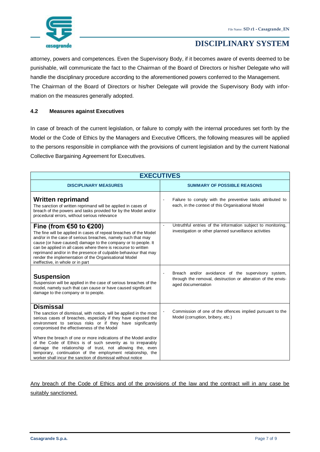

attorney, powers and competences. Even the Supervisory Body, if it becomes aware of events deemed to be punishable, will communicate the fact to the Chairman of the Board of Directors or his/her Delegate who will handle the disciplinary procedure according to the aforementioned powers conferred to the Management. The Chairman of the Board of Directors or his/her Delegate will provide the Supervisory Body with information on the measures generally adopted.

#### <span id="page-6-0"></span>**4.2 Measures against Executives**

In case of breach of the current legislation, or failure to comply with the internal procedures set forth by the Model or the Code of Ethics by the Managers and Executive Officers, the following measures will be applied to the persons responsible in compliance with the provisions of current legislation and by the current National Collective Bargaining Agreement for Executives.

| <b>EXECUTIVES</b>                                                                                                                                                                                                                                                                                                                                                                                                                                                   |                                                                                                                                                            |  |  |
|---------------------------------------------------------------------------------------------------------------------------------------------------------------------------------------------------------------------------------------------------------------------------------------------------------------------------------------------------------------------------------------------------------------------------------------------------------------------|------------------------------------------------------------------------------------------------------------------------------------------------------------|--|--|
| <b>DISCIPLINARY MEASURES</b>                                                                                                                                                                                                                                                                                                                                                                                                                                        | <b>SUMMARY OF POSSIBLE REASONS</b>                                                                                                                         |  |  |
| Written reprimand<br>The sanction of written reprimand will be applied in cases of<br>breach of the powers and tasks provided for by the Model and/or<br>procedural errors, without serious relevance                                                                                                                                                                                                                                                               | Failure to comply with the preventive tasks attributed to<br>each, in the context of this Organisational Model                                             |  |  |
| Fine (from €50 to €200)<br>The fine will be applied in cases of repeat breaches of the Model<br>and/or in the case of serious breaches, namely such that may<br>cause (or have caused) damage to the company or to people. It<br>can be applied in all cases where there is recourse to written<br>reprimand and/or in the presence of culpable behaviour that may<br>render the implementation of the Organisational Model<br>ineffective, in whole or in part     | Untruthful entries of the information subject to monitoring,<br>$\blacksquare$<br>investigation or other planned surveillance activities                   |  |  |
| <b>Suspension</b><br>Suspension will be applied in the case of serious breaches of the<br>model, namely such that can cause or have caused significant<br>damage to the company or to people.                                                                                                                                                                                                                                                                       | Breach and/or avoidance of the supervisory system,<br>$\blacksquare$<br>through the removal, destruction or alteration of the envis-<br>aged documentation |  |  |
| <b>Dismissal</b><br>The sanction of dismissal, with notice, will be applied in the most<br>serious cases of breaches, especially if they have exposed the<br>environment to serious risks or if they have significantly<br>compromised the effectiveness of the Model<br>Where the breach of one or more indications of the Model and/or<br>of the Code of Ethics is of such severity as to irreparably<br>damage the relationship of trust, not allowing the, even | Commission of one of the offences implied pursuant to the<br>Model (corruption, bribery, etc.)                                                             |  |  |
| temporary, continuation of the employment relationship, the<br>worker shall incur the sanction of dismissal without notice                                                                                                                                                                                                                                                                                                                                          |                                                                                                                                                            |  |  |

Any breach of the Code of Ethics and of the provisions of the law and the contract will in any case be suitably sanctioned.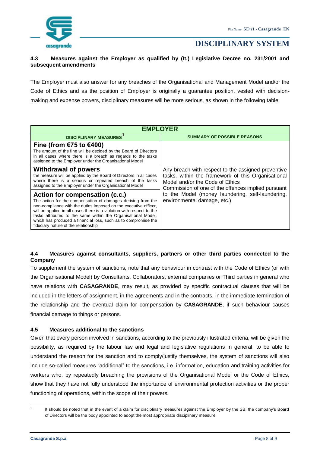

#### <span id="page-7-0"></span>**4.3 Measures against the Employer as qualified by (It.) Legislative Decree no. 231/2001 and subsequent amendments**

The Employer must also answer for any breaches of the Organisational and Management Model and/or the Code of Ethics and as the position of Employer is originally a guarantee position, vested with decisionmaking and expense powers, disciplinary measures will be more serious, as shown in the following table:

| <b>FMPI OYFR</b>                                                                                                                                                                                                                                                                                                                                                                                                       |                                                                                                                                                                                                                                                                                      |  |  |
|------------------------------------------------------------------------------------------------------------------------------------------------------------------------------------------------------------------------------------------------------------------------------------------------------------------------------------------------------------------------------------------------------------------------|--------------------------------------------------------------------------------------------------------------------------------------------------------------------------------------------------------------------------------------------------------------------------------------|--|--|
| <b>DISCIPLINARY MEASURES</b>                                                                                                                                                                                                                                                                                                                                                                                           | <b>SUMMARY OF POSSIBLE REASONS</b>                                                                                                                                                                                                                                                   |  |  |
| Fine (from €75 to €400)<br>The amount of the fine will be decided by the Board of Directors<br>in all cases where there is a breach as regards to the tasks<br>assigned to the Employer under the Organisational Model                                                                                                                                                                                                 | Any breach with respect to the assigned preventive<br>tasks, within the framework of this Organisational<br>Model and/or the Code of Ethics<br>Commission of one of the offences implied pursuant<br>to the Model (money laundering, self-laundering,<br>environmental damage, etc.) |  |  |
| Withdrawal of powers<br>the measure will be applied by the Board of Directors in all cases<br>where there is a serious or repeated breach of the tasks<br>assigned to the Employer under the Organisational Model                                                                                                                                                                                                      |                                                                                                                                                                                                                                                                                      |  |  |
| Action for compensation (c.c.)<br>The action for the compensation of damages deriving from the<br>non-compliance with the duties imposed on the executive officer,<br>will be applied in all cases there is a violation with respect to the<br>tasks attributed to the same within the Organisational Model,<br>which has produced a financial loss, such as to compromise the<br>fiduciary nature of the relationship |                                                                                                                                                                                                                                                                                      |  |  |

#### <span id="page-7-1"></span>**4.4 Measures against consultants, suppliers, partners or other third parties connected to the Company**

To supplement the system of sanctions, note that any behaviour in contrast with the Code of Ethics (or with the Organisational Model) by Consultants, Collaborators, external companies or Third parties in general who have relations with **CASAGRANDE**, may result, as provided by specific contractual clauses that will be included in the letters of assignment, in the agreements and in the contracts, in the immediate termination of the relationship and the eventual claim for compensation by **CASAGRANDE**, if such behaviour causes financial damage to things or persons.

#### <span id="page-7-2"></span>**4.5 Measures additional to the sanctions**

Given that every person involved in sanctions, according to the previously illustrated criteria, will be given the possibility, as required by the labour law and legal and legislative regulations in general, to be able to understand the reason for the sanction and to comply/justify themselves, the system of sanctions will also include so-called measures "additional" to the sanctions, i.e. information, education and training activities for workers who, by repeatedly breaching the provisions of the Organisational Model or the Code of Ethics, show that they have not fully understood the importance of environmental protection activities or the proper functioning of operations, within the scope of their powers.

<sup>&</sup>lt;u>.</u> 1

It should be noted that in the event of a claim for disciplinary measures against the Employer by the SB, the company's Board of Directors will be the body appointed to adopt the most appropriate disciplinary measure.